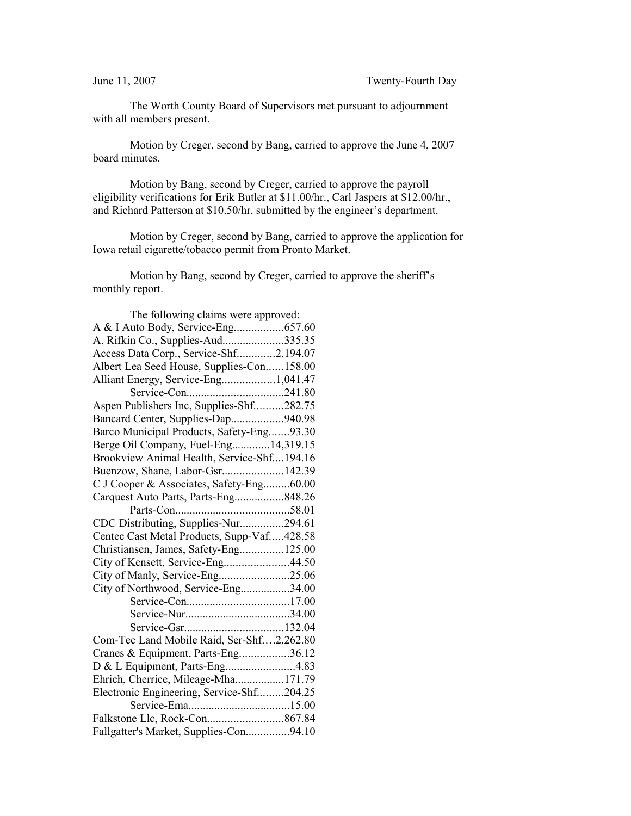The Worth County Board of Supervisors met pursuant to adjournment with all members present.

Motion by Creger, second by Bang, carried to approve the June 4, 2007 board minutes.

Motion by Bang, second by Creger, carried to approve the payroll eligibility verifications for Erik Butler at \$11.00/hr., Carl Jaspers at \$12.00/hr., and Richard Patterson at \$10.50/hr. submitted by the engineer's department.

Motion by Creger, second by Bang, carried to approve the application for Iowa retail cigarette/tobacco permit from Pronto Market.

Motion by Bang, second by Creger, carried to approve the sheriff's monthly report.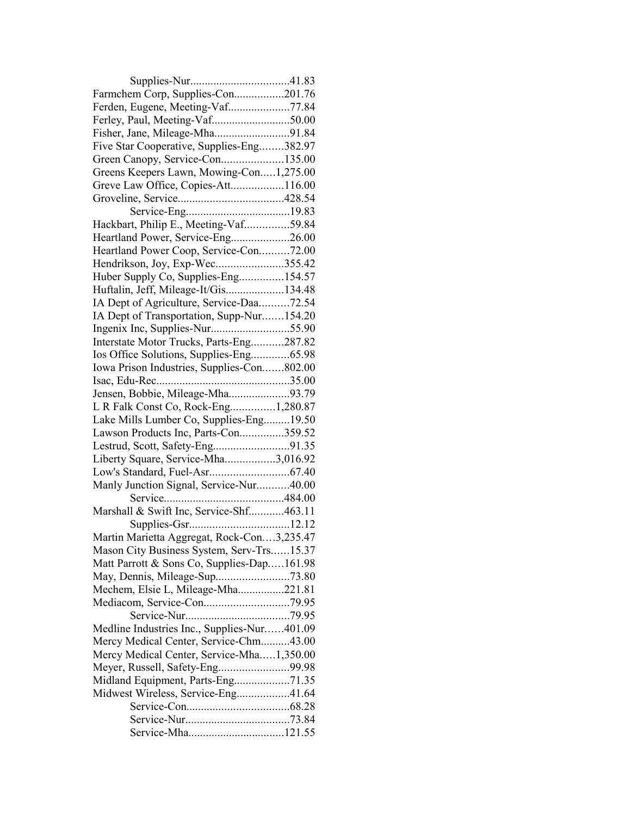| Farmchem Corp, Supplies-Con201.76           |  |
|---------------------------------------------|--|
| Ferden, Eugene, Meeting-Vaf77.84            |  |
|                                             |  |
| Fisher, Jane, Mileage-Mha91.84              |  |
| Five Star Cooperative, Supplies-Eng382.97   |  |
| Green Canopy, Service-Con135.00             |  |
| Greens Keepers Lawn, Mowing-Con1,275.00     |  |
| Greve Law Office, Copies-Att116.00          |  |
|                                             |  |
|                                             |  |
| Hackbart, Philip E., Meeting-Vaf59.84       |  |
| Heartland Power, Service-Eng26.00           |  |
| Heartland Power Coop, Service-Con72.00      |  |
| Hendrikson, Joy, Exp-Wec355.42              |  |
| Huber Supply Co, Supplies-Eng154.57         |  |
| Huftalin, Jeff, Mileage-It/Gis134.48        |  |
| IA Dept of Agriculture, Service-Daa72.54    |  |
| IA Dept of Transportation, Supp-Nur154.20   |  |
|                                             |  |
| Interstate Motor Trucks, Parts-Eng287.82    |  |
| Ios Office Solutions, Supplies-Eng65.98     |  |
| Iowa Prison Industries, Supplies-Con802.00  |  |
|                                             |  |
| Jensen, Bobbie, Mileage-Mha93.79            |  |
| L R Falk Const Co, Rock-Eng1,280.87         |  |
| Lake Mills Lumber Co, Supplies-Eng19.50     |  |
| Lawson Products Inc, Parts-Con359.52        |  |
|                                             |  |
| Liberty Square, Service-Mha3,016.92         |  |
|                                             |  |
| Manly Junction Signal, Service-Nur40.00     |  |
|                                             |  |
| Marshall & Swift Inc, Service-Shf463.11     |  |
|                                             |  |
| Martin Marietta Aggregat, Rock-Con3,235.47  |  |
| Mason City Business System, Serv-Trs15.37   |  |
| Matt Parrott & Sons Co, Supplies-Dap161.98  |  |
| May, Dennis, Mileage-Sup73.80               |  |
| Mechem, Elsie L, Mileage-Mha221.81          |  |
|                                             |  |
|                                             |  |
| Medline Industries Inc., Supplies-Nur401.09 |  |
| Mercy Medical Center, Service-Chm43.00      |  |
| Mercy Medical Center, Service-Mha1,350.00   |  |
| Meyer, Russell, Safety-Eng99.98             |  |
| Midland Equipment, Parts-Eng71.35           |  |
| Midwest Wireless, Service-Eng41.64          |  |
|                                             |  |
|                                             |  |
| Service-Mha121.55                           |  |
|                                             |  |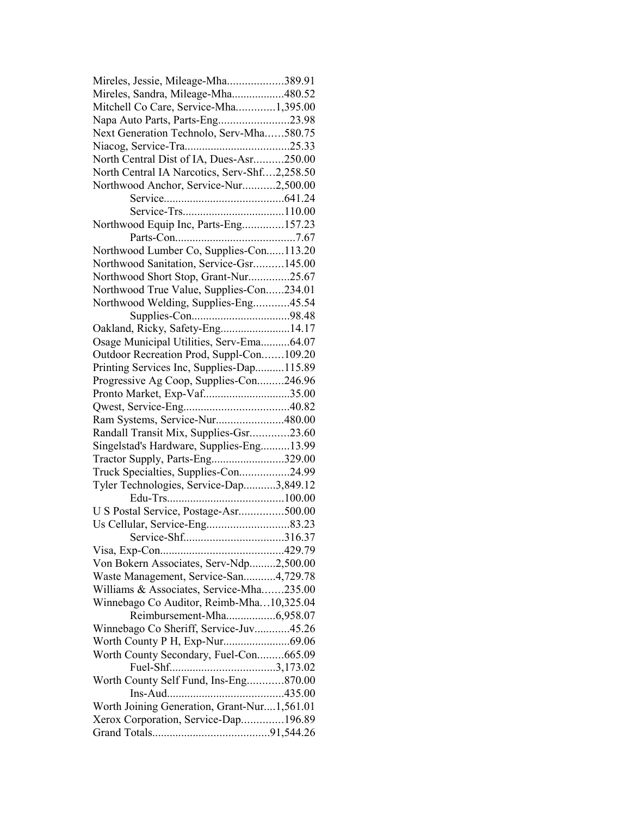| Mireles, Jessie, Mileage-Mha389.91           |  |
|----------------------------------------------|--|
| Mireles, Sandra, Mileage-Mha480.52           |  |
| Mitchell Co Care, Service-Mha1,395.00        |  |
| Napa Auto Parts, Parts-Eng23.98              |  |
| Next Generation Technolo, Serv-Mha580.75     |  |
|                                              |  |
| North Central Dist of IA, Dues-Asr250.00     |  |
| North Central IA Narcotics, Serv-Shf2,258.50 |  |
| Northwood Anchor, Service-Nur2,500.00        |  |
|                                              |  |
|                                              |  |
| Northwood Equip Inc, Parts-Eng157.23         |  |
|                                              |  |
| Northwood Lumber Co, Supplies-Con113.20      |  |
| Northwood Sanitation, Service-Gsr145.00      |  |
| Northwood Short Stop, Grant-Nur25.67         |  |
| Northwood True Value, Supplies-Con234.01     |  |
| Northwood Welding, Supplies-Eng45.54         |  |
|                                              |  |
| Oakland, Ricky, Safety-Eng14.17              |  |
| Osage Municipal Utilities, Serv-Ema64.07     |  |
| Outdoor Recreation Prod, Suppl-Con109.20     |  |
| Printing Services Inc, Supplies-Dap115.89    |  |
| Progressive Ag Coop, Supplies-Con246.96      |  |
| Pronto Market, Exp-Vaf35.00                  |  |
|                                              |  |
| Ram Systems, Service-Nur480.00               |  |
| Randall Transit Mix, Supplies-Gsr23.60       |  |
| Singelstad's Hardware, Supplies-Eng13.99     |  |
| Tractor Supply, Parts-Eng329.00              |  |
| Truck Specialties, Supplies-Con24.99         |  |
| Tyler Technologies, Service-Dap3,849.12      |  |
|                                              |  |
| U S Postal Service, Postage-Asr500.00        |  |
|                                              |  |
|                                              |  |
|                                              |  |
| Von Bokern Associates, Serv-Ndp2,500.00      |  |
| Waste Management, Service-San4,729.78        |  |
| Williams & Associates, Service-Mha235.00     |  |
| Winnebago Co Auditor, Reimb-Mha10,325.04     |  |
| Reimbursement-Mha6,958.07                    |  |
| Winnebago Co Sheriff, Service-Juv45.26       |  |
| Worth County P H, Exp-Nur69.06               |  |
| Worth County Secondary, Fuel-Con665.09       |  |
|                                              |  |
| Worth County Self Fund, Ins-Eng870.00        |  |
|                                              |  |
| Worth Joining Generation, Grant-Nur1,561.01  |  |
| Xerox Corporation, Service-Dap196.89         |  |
|                                              |  |
|                                              |  |